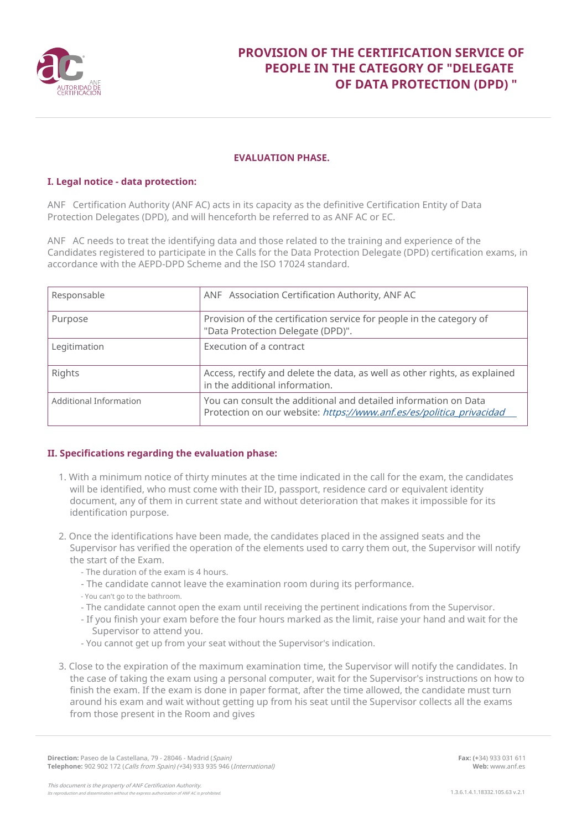

## **PROVISION OF THE CERTIFICATION SERVICE OF PEOPLE IN THE CATEGORY OF "DELEGATE OF DATA PROTECTION (DPD) "**

#### **EVALUATION PHASE.**

### **I. Legal notice - data protection:**

ANF Certification Authority (ANF AC) acts in its capacity as the definitive Certification Entity of Data Protection Delegates (DPD), and will henceforth be referred to as ANF AC or EC.

ANF AC needs to treat the identifying data and those related to the training and experience of the Candidates registered to participate in the Calls for the Data Protection Delegate (DPD) certification exams, in accordance with the AEPD-DPD Scheme and the ISO 17024 standard.

| Responsable            | ANF Association Certification Authority, ANF AC                                                                                         |
|------------------------|-----------------------------------------------------------------------------------------------------------------------------------------|
| Purpose                | Provision of the certification service for people in the category of<br>"Data Protection Delegate (DPD)".                               |
| Legitimation           | Execution of a contract                                                                                                                 |
| Rights                 | Access, rectify and delete the data, as well as other rights, as explained<br>in the additional information.                            |
| Additional Information | You can consult the additional and detailed information on Data<br>Protection on our website: https://www.anf.es/es/politica_privacidad |

### **II. Specifications regarding the evaluation phase:**

- 1. With a minimum notice of thirty minutes at the time indicated in the call for the exam, the candidates will be identified, who must come with their ID, passport, residence card or equivalent identity document, any of them in current state and without deterioration that makes it impossible for its identification purpose.
- 2. Once the identifications have been made, the candidates placed in the assigned seats and the Supervisor has verified the operation of the elements used to carry them out, the Supervisor will notify the start of the Exam.
	- The duration of the exam is 4 hours.
	- The candidate cannot leave the examination room during its performance.
	- You can't go to the bathroom.
	- The candidate cannot open the exam until receiving the pertinent indications from the Supervisor.
	- If you finish your exam before the four hours marked as the limit, raise your hand and wait for the Supervisor to attend you.
	- You cannot get up from your seat without the Supervisor's indication.
- 3. Close to the expiration of the maximum examination time, the Supervisor will notify the candidates. In the case of taking the exam using a personal computer, wait for the Supervisor's instructions on how to finish the exam. If the exam is done in paper format, after the time allowed, the candidate must turn around his exam and wait without getting up from his seat until the Supervisor collects all the exams from those present in the Room and gives

**Fax: (+**34) 933 031 611 **Web:** www.anf.es

**Direction:** Paseo de la Castellana, 79 - 28046 - Madrid (Spain) **Telephone:** 902 902 172 (Calls from Spain) (+34) 933 935 946 (International)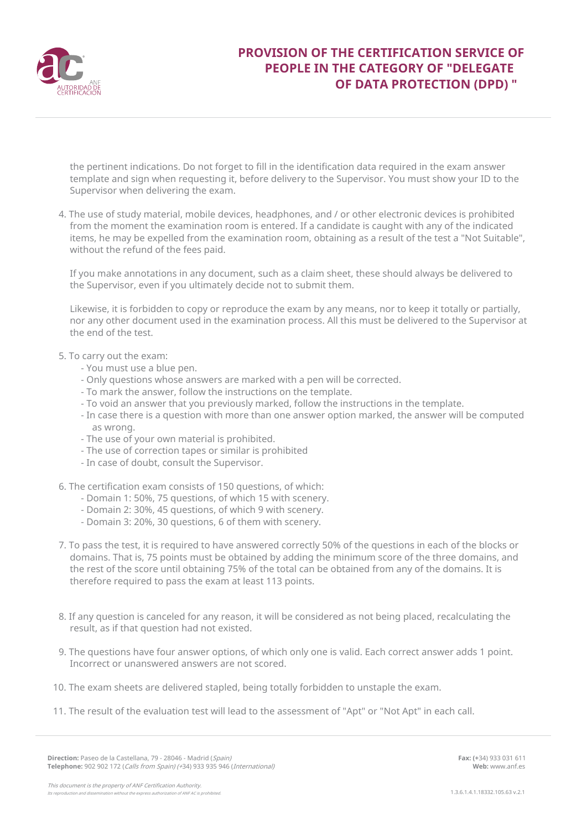

# **PROVISION OF THE CERTIFICATION SERVICE OF PEOPLE IN THE CATEGORY OF "DELEGATE OF DATA PROTECTION (DPD) "**

the pertinent indications. Do not forget to fill in the identification data required in the exam answer template and sign when requesting it, before delivery to the Supervisor. You must show your ID to the Supervisor when delivering the exam.

4. The use of study material, mobile devices, headphones, and / or other electronic devices is prohibited from the moment the examination room is entered. If a candidate is caught with any of the indicated items, he may be expelled from the examination room, obtaining as a result of the test a "Not Suitable", without the refund of the fees paid.

If you make annotations in any document, such as a claim sheet, these should always be delivered to the Supervisor, even if you ultimately decide not to submit them.

Likewise, it is forbidden to copy or reproduce the exam by any means, nor to keep it totally or partially, nor any other document used in the examination process. All this must be delivered to the Supervisor at the end of the test.

- 5. To carry out the exam:
	- You must use a blue pen.
	- Only questions whose answers are marked with a pen will be corrected.
	- To mark the answer, follow the instructions on the template.
	- To void an answer that you previously marked, follow the instructions in the template.
	- In case there is a question with more than one answer option marked, the answer will be computed as wrong.
	- The use of your own material is prohibited.
	- The use of correction tapes or similar is prohibited
	- In case of doubt, consult the Supervisor.
- 6. The certification exam consists of 150 questions, of which:
	- Domain 1: 50%, 75 questions, of which 15 with scenery.
	- Domain 2: 30%, 45 questions, of which 9 with scenery.
	- Domain 3: 20%, 30 questions, 6 of them with scenery.
- 7. To pass the test, it is required to have answered correctly 50% of the questions in each of the blocks or domains. That is, 75 points must be obtained by adding the minimum score of the three domains, and the rest of the score until obtaining 75% of the total can be obtained from any of the domains. It is therefore required to pass the exam at least 113 points.
- 8. If any question is canceled for any reason, it will be considered as not being placed, recalculating the result, as if that question had not existed.
- 9. The questions have four answer options, of which only one is valid. Each correct answer adds 1 point. Incorrect or unanswered answers are not scored.
- 10. The exam sheets are delivered stapled, being totally forbidden to unstaple the exam.
- 11. The result of the evaluation test will lead to the assessment of "Apt" or "Not Apt" in each call.

This document is the property of ANF Certification Authority.